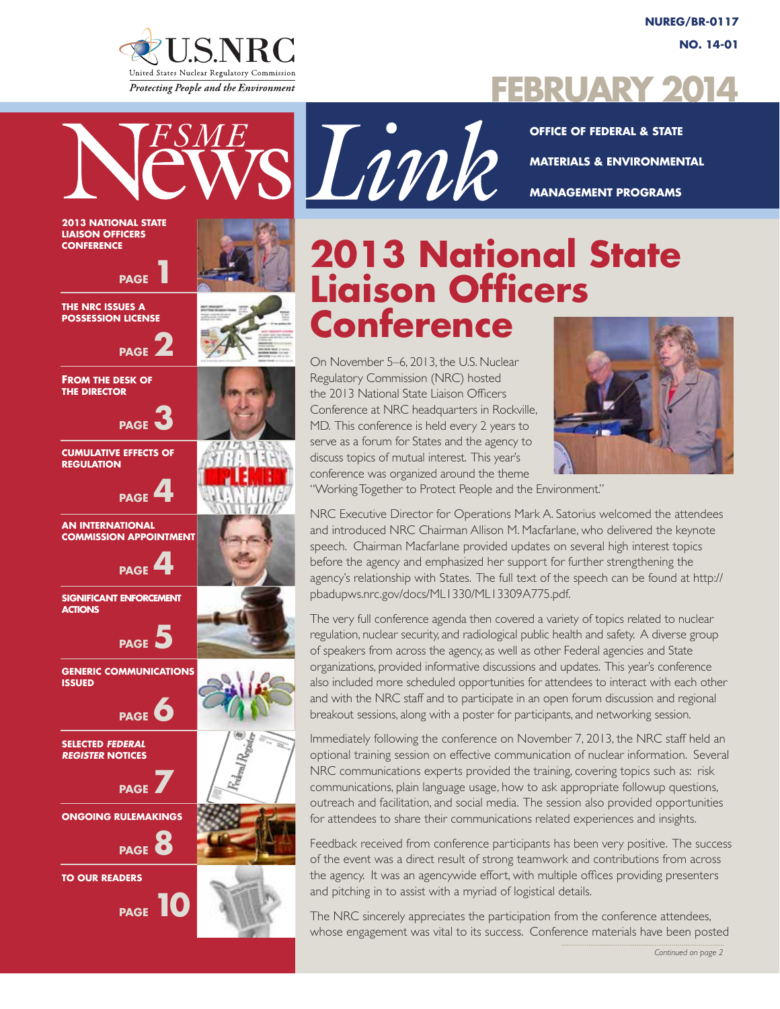

**Office of Federal & State Materials & Environmental Management Programs**

# **2013 National State Liaison Officers Conference**

On November 5–6, 2013, the U.S. Nuclear Regulatory Commission (NRC) hosted the 2013 National State Liaison Officers Conference at NRC headquarters in Rockville, MD. This conference is held every 2 years to serve as a forum for States and the agency to discuss topics of mutual interest. This year's conference was organized around the theme



"Working Together to Protect People and the Environment."

NRC Executive Director for Operations Mark A. Satorius welcomed the attendees and introduced NRC Chairman Allison M. Macfarlane, who delivered the keynote speech. Chairman Macfarlane provided updates on several high interest topics before the agency and emphasized her support for further strengthening the agency's relationship with States. The full text of the speech can be found at http:// pbadupws.nrc.gov/docs/ML1330/ML13309A775.pdf.

The very full conference agenda then covered a variety of topics related to nuclear regulation, nuclear security, and radiological public health and safety. A diverse group of speakers from across the agency, as well as other Federal agencies and State organizations, provided informative discussions and updates. This year's conference also included more scheduled opportunities for attendees to interact with each other and with the NRC staff and to participate in an open forum discussion and regional breakout sessions, along with a poster for participants, and networking session.

Immediately following the conference on November 7, 2013, the NRC staff held an optional training session on effective communication of nuclear information. Several NRC communications experts provided the training, covering topics such as: risk communications, plain language usage, how to ask appropriate followup questions, outreach and facilitation, and social media. The session also provided opportunities for attendees to share their communications related experiences and insights.

Feedback received from conference participants has been very positive. The success of the event was a direct result of strong teamwork and contributions from across the agency. It was an agencywide effort, with multiple offices providing presenters and pitching in to assist with a myriad of logistical details.

The NRC sincerely appreciates the participation from the conference attendees, whose engagement was vital to its success. Conference materials have been posted

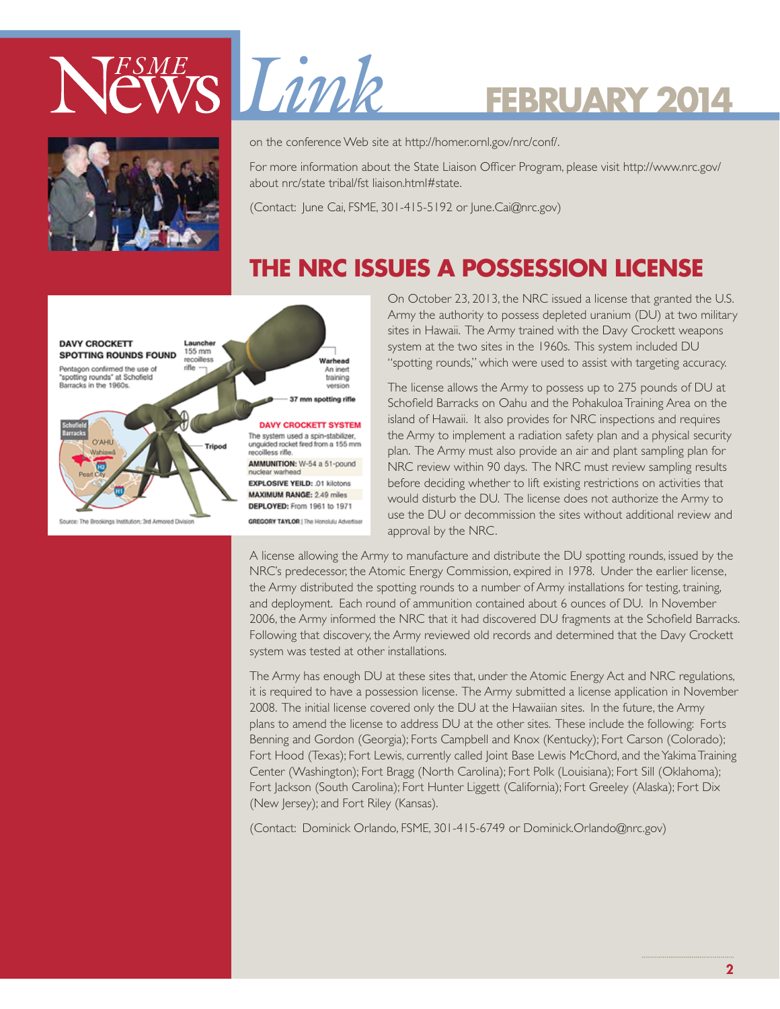

# EWS Limk

# **February 2014**



on the conference Web site at http://homer.ornl.gov/nrc/conf/.

For more information about the State Liaison Officer Program, please visit http://www.nrc.gov/ about nrc/state tribal/fst liaison.html#state.

(Contact: June Cai, FSME, 301-415-5192 or June.Cai@nrc.gov)

### **THE NRC ISSUES A POSSESSION LICENSE**



On October 23, 2013, the NRC issued a license that granted the U.S. Army the authority to possess depleted uranium (DU) at two military sites in Hawaii. The Army trained with the Davy Crockett weapons system at the two sites in the 1960s. This system included DU "spotting rounds," which were used to assist with targeting accuracy.

The license allows the Army to possess up to 275 pounds of DU at Schofield Barracks on Oahu and the Pohakuloa Training Area on the island of Hawaii. It also provides for NRC inspections and requires the Army to implement a radiation safety plan and a physical security plan. The Army must also provide an air and plant sampling plan for NRC review within 90 days. The NRC must review sampling results before deciding whether to lift existing restrictions on activities that would disturb the DU. The license does not authorize the Army to use the DU or decommission the sites without additional review and approval by the NRC.

A license allowing the Army to manufacture and distribute the DU spotting rounds, issued by the NRC's predecessor, the Atomic Energy Commission, expired in 1978. Under the earlier license, the Army distributed the spotting rounds to a number of Army installations for testing, training, and deployment. Each round of ammunition contained about 6 ounces of DU. In November 2006, the Army informed the NRC that it had discovered DU fragments at the Schofield Barracks. Following that discovery, the Army reviewed old records and determined that the Davy Crockett system was tested at other installations.

The Army has enough DU at these sites that, under the Atomic Energy Act and NRC regulations, it is required to have a possession license. The Army submitted a license application in November 2008. The initial license covered only the DU at the Hawaiian sites. In the future, the Army plans to amend the license to address DU at the other sites. These include the following: Forts Benning and Gordon (Georgia); Forts Campbell and Knox (Kentucky); Fort Carson (Colorado); Fort Hood (Texas); Fort Lewis, currently called Joint Base Lewis McChord, and the Yakima Training Center (Washington); Fort Bragg (North Carolina); Fort Polk (Louisiana); Fort Sill (Oklahoma); Fort Jackson (South Carolina); Fort Hunter Liggett (California); Fort Greeley (Alaska); Fort Dix (New Jersey); and Fort Riley (Kansas).

(Contact: Dominick Orlando, FSME, 301-415-6749 or Dominick.Orlando@nrc.gov)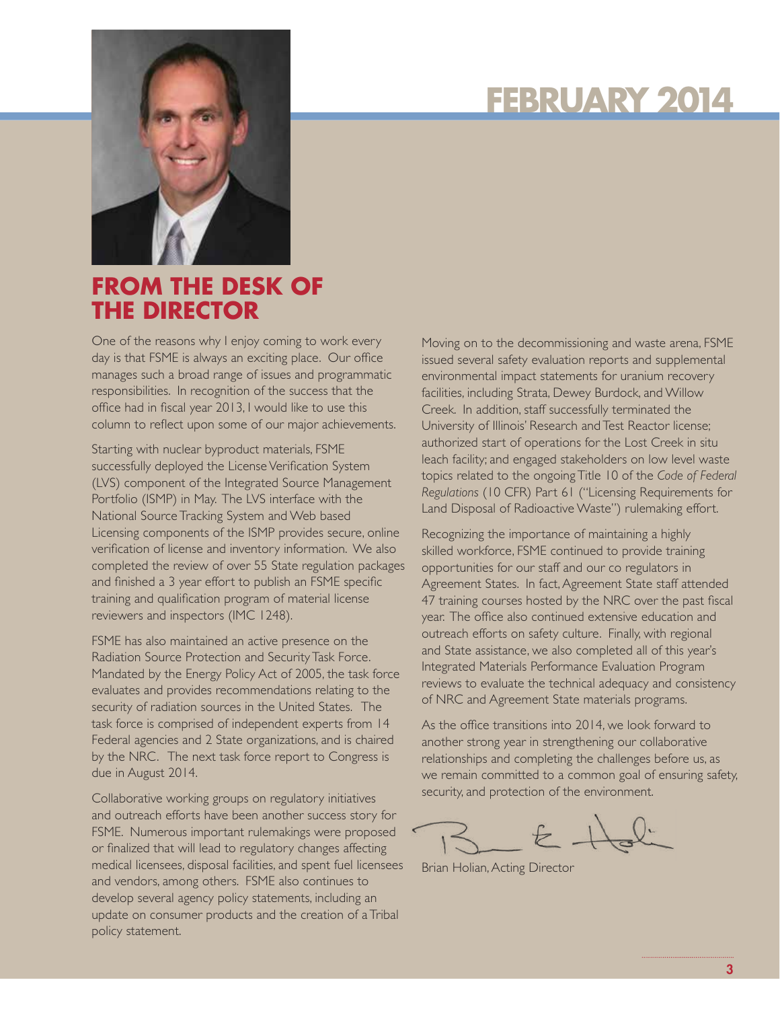

### **FROM THE DESK OF THE DIRECTOR**

One of the reasons why I enjoy coming to work every day is that FSME is always an exciting place. Our office manages such a broad range of issues and programmatic responsibilities. In recognition of the success that the office had in fiscal year 2013, I would like to use this column to reflect upon some of our major achievements.

Starting with nuclear byproduct materials, FSME successfully deployed the License Verification System (LVS) component of the Integrated Source Management Portfolio (ISMP) in May. The LVS interface with the National Source Tracking System and Web based Licensing components of the ISMP provides secure, online verification of license and inventory information. We also completed the review of over 55 State regulation packages and finished a 3 year effort to publish an FSME specific training and qualification program of material license reviewers and inspectors (IMC 1248).

FSME has also maintained an active presence on the Radiation Source Protection and Security Task Force. Mandated by the Energy Policy Act of 2005, the task force evaluates and provides recommendations relating to the security of radiation sources in the United States. The task force is comprised of independent experts from 14 Federal agencies and 2 State organizations, and is chaired by the NRC. The next task force report to Congress is due in August 2014.

Collaborative working groups on regulatory initiatives and outreach efforts have been another success story for FSME. Numerous important rulemakings were proposed or finalized that will lead to regulatory changes affecting medical licensees, disposal facilities, and spent fuel licensees and vendors, among others. FSME also continues to develop several agency policy statements, including an update on consumer products and the creation of a Tribal policy statement.

Moving on to the decommissioning and waste arena, FSME issued several safety evaluation reports and supplemental environmental impact statements for uranium recovery facilities, including Strata, Dewey Burdock, and Willow Creek. In addition, staff successfully terminated the University of Illinois' Research and Test Reactor license; authorized start of operations for the Lost Creek in situ leach facility; and engaged stakeholders on low level waste topics related to the ongoing Title 10 of the *Code of Federal Regulations* (10 CFR) Part 61 ("Licensing Requirements for Land Disposal of Radioactive Waste") rulemaking effort.

Recognizing the importance of maintaining a highly skilled workforce, FSME continued to provide training opportunities for our staff and our co regulators in Agreement States. In fact, Agreement State staff attended 47 training courses hosted by the NRC over the past fiscal year. The office also continued extensive education and outreach efforts on safety culture. Finally, with regional and State assistance, we also completed all of this year's Integrated Materials Performance Evaluation Program reviews to evaluate the technical adequacy and consistency of NRC and Agreement State materials programs.

As the office transitions into 2014, we look forward to another strong year in strengthening our collaborative relationships and completing the challenges before us, as we remain committed to a common goal of ensuring safety, security, and protection of the environment.

Brian Holian, Acting Director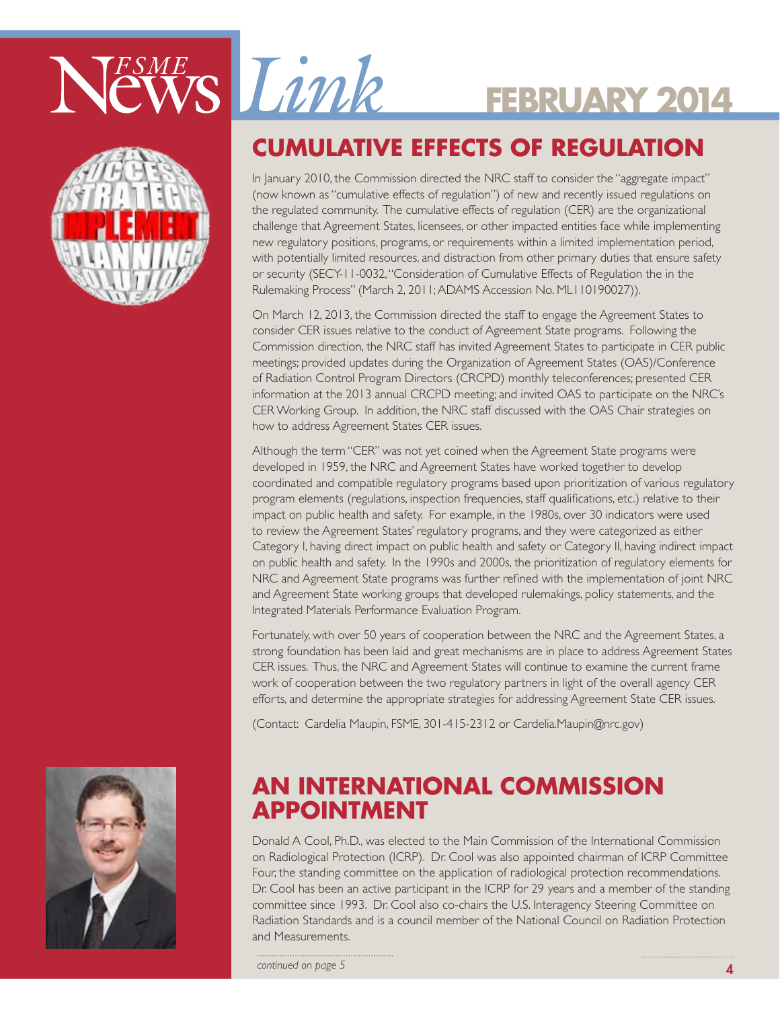



### **Cumulative Effects of Regulation**

In January 2010, the Commission directed the NRC staff to consider the "aggregate impact" (now known as "cumulative effects of regulation") of new and recently issued regulations on the regulated community. The cumulative effects of regulation (CER) are the organizational challenge that Agreement States, licensees, or other impacted entities face while implementing new regulatory positions, programs, or requirements within a limited implementation period, with potentially limited resources, and distraction from other primary duties that ensure safety or security (SECY-11-0032, "Consideration of Cumulative Effects of Regulation the in the Rulemaking Process" (March 2, 2011; ADAMS Accession No. ML110190027)).

On March 12, 2013, the Commission directed the staff to engage the Agreement States to consider CER issues relative to the conduct of Agreement State programs. Following the Commission direction, the NRC staff has invited Agreement States to participate in CER public meetings; provided updates during the Organization of Agreement States (OAS)/Conference of Radiation Control Program Directors (CRCPD) monthly teleconferences; presented CER information at the 2013 annual CRCPD meeting; and invited OAS to participate on the NRC's CER Working Group. In addition, the NRC staff discussed with the OAS Chair strategies on how to address Agreement States CER issues.

Although the term "CER" was not yet coined when the Agreement State programs were developed in 1959, the NRC and Agreement States have worked together to develop coordinated and compatible regulatory programs based upon prioritization of various regulatory program elements (regulations, inspection frequencies, staff qualifications, etc.) relative to their impact on public health and safety. For example, in the 1980s, over 30 indicators were used to review the Agreement States' regulatory programs, and they were categorized as either Category I, having direct impact on public health and safety or Category II, having indirect impact on public health and safety. In the 1990s and 2000s, the prioritization of regulatory elements for NRC and Agreement State programs was further refined with the implementation of joint NRC and Agreement State working groups that developed rulemakings, policy statements, and the Integrated Materials Performance Evaluation Program.

Fortunately, with over 50 years of cooperation between the NRC and the Agreement States, a strong foundation has been laid and great mechanisms are in place to address Agreement States CER issues. Thus, the NRC and Agreement States will continue to examine the current frame work of cooperation between the two regulatory partners in light of the overall agency CER efforts, and determine the appropriate strategies for addressing Agreement State CER issues.

(Contact: Cardelia Maupin, FSME, 301-415-2312 or Cardelia.Maupin@nrc.gov)



### **AN INTERNATIONAL COMMISSION APPOINTMENT**

Donald A Cool, Ph.D., was elected to the Main Commission of the International Commission on Radiological Protection (ICRP). Dr. Cool was also appointed chairman of ICRP Committee Four, the standing committee on the application of radiological protection recommendations. Dr. Cool has been an active participant in the ICRP for 29 years and a member of the standing committee since 1993. Dr. Cool also co-chairs the U.S. Interagency Steering Committee on Radiation Standards and is a council member of the National Council on Radiation Protection and Measurements.

*continued on page 5*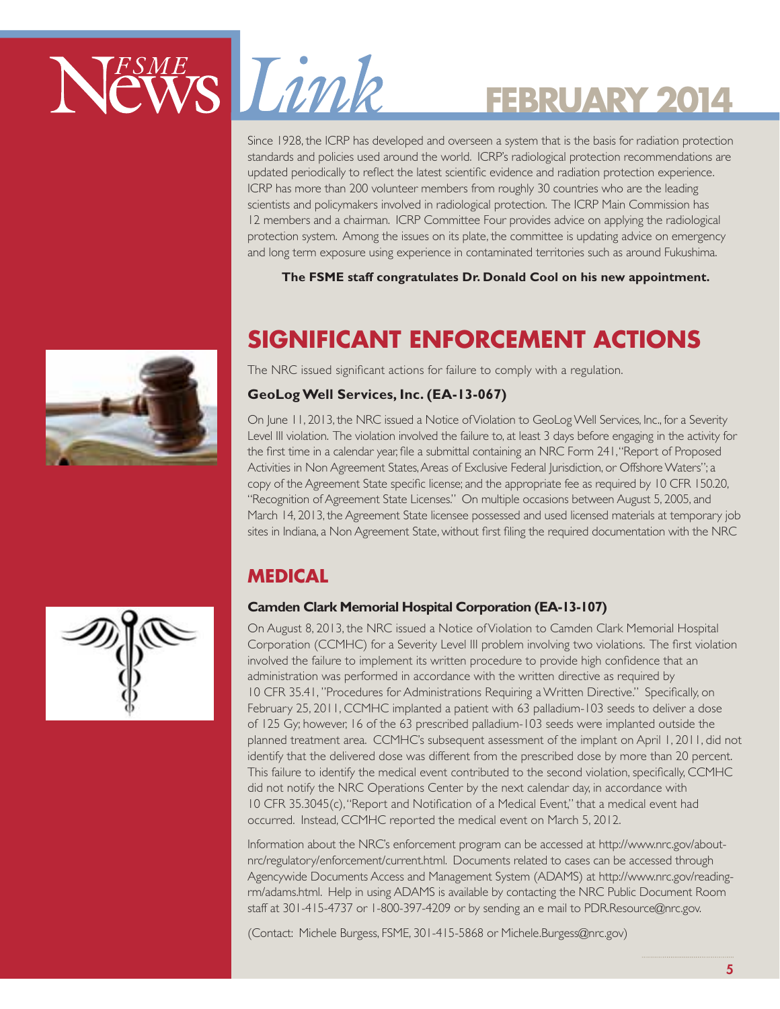# NEWS Limk

# **February 2014**

Since 1928, the ICRP has developed and overseen a system that is the basis for radiation protection standards and policies used around the world. ICRP's radiological protection recommendations are updated periodically to reflect the latest scientific evidence and radiation protection experience. ICRP has more than 200 volunteer members from roughly 30 countries who are the leading scientists and policymakers involved in radiological protection. The ICRP Main Commission has 12 members and a chairman. ICRP Committee Four provides advice on applying the radiological protection system. Among the issues on its plate, the committee is updating advice on emergency and long term exposure using experience in contaminated territories such as around Fukushima.

**The FSME staff congratulates Dr. Donald Cool on his new appointment.**

## **SIGNIFICANT ENFORCEMENT ACTIONS**

The NRC issued significant actions for failure to comply with a regulation.

### **GeoLog Well Services, Inc. (EA-13-067)**

On June 11, 2013, the NRC issued a Notice of Violation to GeoLog Well Services, Inc., for a Severity Level III violation. The violation involved the failure to, at least 3 days before engaging in the activity for the first time in a calendar year, file a submittal containing an NRC Form 241, "Report of Proposed Activities in Non Agreement States, Areas of Exclusive Federal Jurisdiction, or Offshore Waters"; a copy of the Agreement State specific license; and the appropriate fee as required by 10 CFR 150.20, "Recognition of Agreement State Licenses." On multiple occasions between August 5, 2005, and March 14, 2013, the Agreement State licensee possessed and used licensed materials at temporary job sites in Indiana, a Non Agreement State, without first filing the required documentation with the NRC

### **Medical**

### **Camden Clark Memorial Hospital Corporation (EA-13-107)**

On August 8, 2013, the NRC issued a Notice of Violation to Camden Clark Memorial Hospital Corporation (CCMHC) for a Severity Level III problem involving two violations. The first violation involved the failure to implement its written procedure to provide high confidence that an administration was performed in accordance with the written directive as required by 10 CFR 35.41, "Procedures for Administrations Requiring a Written Directive." Specifically, on February 25, 2011, CCMHC implanted a patient with 63 palladium-103 seeds to deliver a dose of 125 Gy; however, 16 of the 63 prescribed palladium-103 seeds were implanted outside the planned treatment area. CCMHC's subsequent assessment of the implant on April 1, 2011, did not identify that the delivered dose was different from the prescribed dose by more than 20 percent. This failure to identify the medical event contributed to the second violation, specifically, CCMHC did not notify the NRC Operations Center by the next calendar day, in accordance with 10 CFR 35.3045(c), "Report and Notification of a Medical Event," that a medical event had occurred. Instead, CCMHC reported the medical event on March 5, 2012.

Information about the NRC's enforcement program can be accessed at http://www.nrc.gov/aboutnrc/regulatory/enforcement/current.html. Documents related to cases can be accessed through Agencywide Documents Access and Management System (ADAMS) at http://www.nrc.gov/readingrm/adams.html. Help in using ADAMS is available by contacting the NRC Public Document Room staff at 301-415-4737 or 1-800-397-4209 or by sending an e mail to PDR.Resource@nrc.gov.

(Contact: Michele Burgess, FSME, 301-415-5868 or Michele.Burgess@nrc.gov)

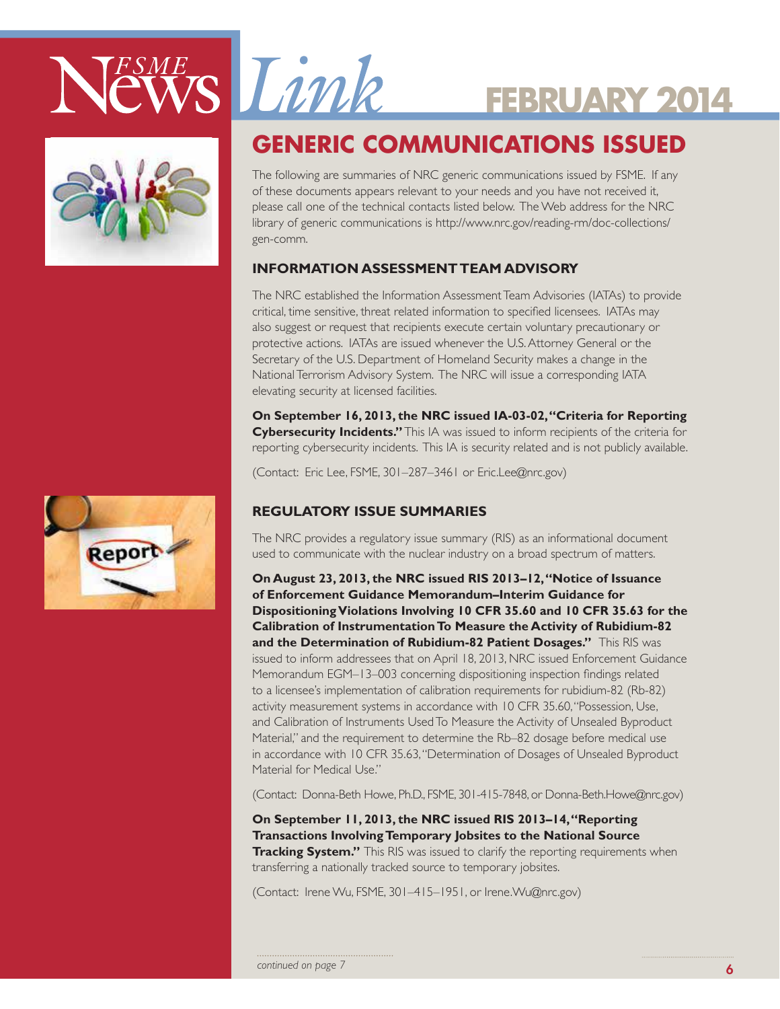



# ESME Limk

# **February 2014**

### **GENERIC COMMUNICATIONS ISSUED**

The following are summaries of NRC generic communications issued by FSME. If any of these documents appears relevant to your needs and you have not received it, please call one of the technical contacts listed below. The Web address for the NRC library of generic communications is http://www.nrc.gov/reading-rm/doc-collections/ gen-comm.

### **Information Assessment Team Advisory**

The NRC established the Information Assessment Team Advisories (IATAs) to provide critical, time sensitive, threat related information to specified licensees. IATAs may also suggest or request that recipients execute certain voluntary precautionary or protective actions. IATAs are issued whenever the U.S. Attorney General or the Secretary of the U.S. Department of Homeland Security makes a change in the National Terrorism Advisory System. The NRC will issue a corresponding IATA elevating security at licensed facilities.

**On September 16, 2013, the NRC issued IA-03-02, "Criteria for Reporting Cybersecurity Incidents."** This IA was issued to inform recipients of the criteria for reporting cybersecurity incidents. This IA is security related and is not publicly available.

(Contact: Eric Lee, FSME, 301–287–3461 or Eric.Lee@nrc.gov)

### **Regulatory Issue Summaries**

The NRC provides a regulatory issue summary (RIS) as an informational document used to communicate with the nuclear industry on a broad spectrum of matters.

**On August 23, 2013, the NRC issued RIS 2013–12, "Notice of Issuance of Enforcement Guidance Memorandum–Interim Guidance for Dispositioning Violations Involving 10 CFR 35.60 and 10 CFR 35.63 for the Calibration of Instrumentation To Measure the Activity of Rubidium-82 and the Determination of Rubidium-82 Patient Dosages."** This RIS was issued to inform addressees that on April 18, 2013, NRC issued Enforcement Guidance Memorandum EGM–13–003 concerning dispositioning inspection findings related to a licensee's implementation of calibration requirements for rubidium-82 (Rb-82) activity measurement systems in accordance with 10 CFR 35.60, "Possession, Use, and Calibration of Instruments Used To Measure the Activity of Unsealed Byproduct Material," and the requirement to determine the Rb–82 dosage before medical use in accordance with 10 CFR 35.63, "Determination of Dosages of Unsealed Byproduct Material for Medical Use."

(Contact: Donna-Beth Howe, Ph.D., FSME, 301-415-7848, or Donna-Beth.Howe@nrc.gov)

**On September 11, 2013, the NRC issued RIS 2013–14, "Reporting Transactions Involving Temporary Jobsites to the National Source Tracking System."** This RIS was issued to clarify the reporting requirements when transferring a nationally tracked source to temporary jobsites.

(Contact: Irene Wu, FSME, 301–415–1951, or Irene.Wu@nrc.gov)

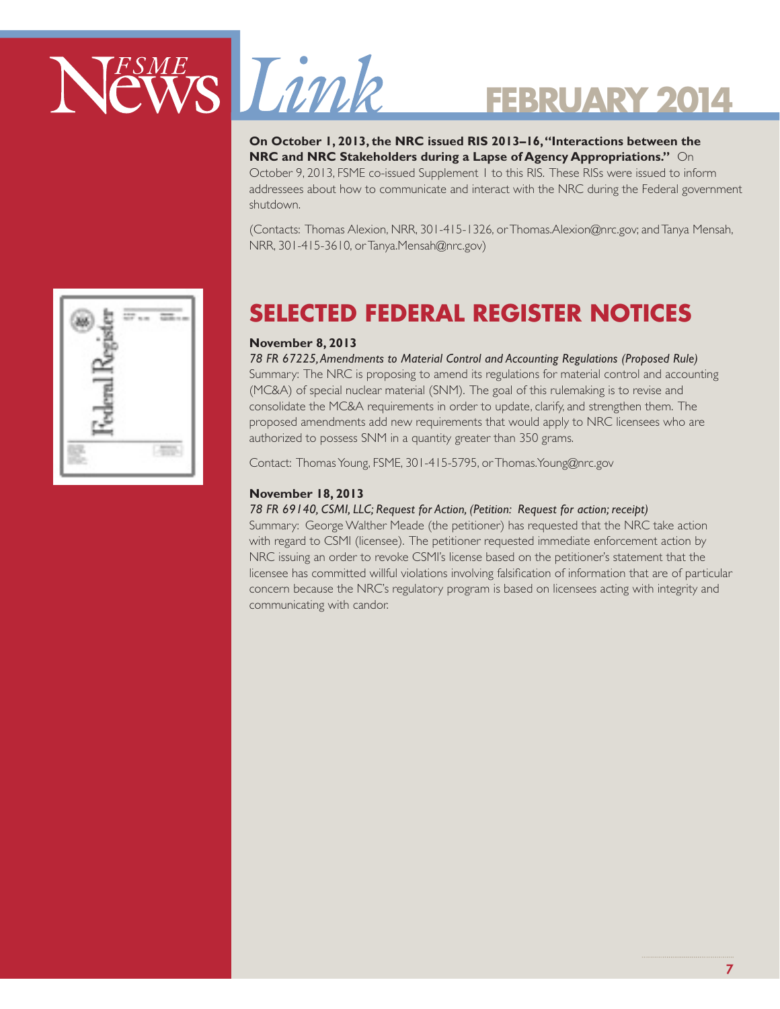

**On October 1, 2013, the NRC issued RIS 2013–16, "Interactions between the NRC and NRC Stakeholders during a Lapse of Agency Appropriations."** On October 9, 2013, FSME co-issued Supplement 1 to this RIS. These RISs were issued to inform addressees about how to communicate and interact with the NRC during the Federal government shutdown.

(Contacts: Thomas Alexion, NRR, 301-415-1326, or Thomas.Alexion@nrc.gov; and Tanya Mensah, NRR, 301-415-3610, or Tanya.Mensah@nrc.gov)



### **Selected Federal Register Notices**

### **November 8, 2013**

*78 FR 67225, Amendments to Material Control and Accounting Regulations (Proposed Rule)* Summary: The NRC is proposing to amend its regulations for material control and accounting (MC&A) of special nuclear material (SNM). The goal of this rulemaking is to revise and consolidate the MC&A requirements in order to update, clarify, and strengthen them. The proposed amendments add new requirements that would apply to NRC licensees who are authorized to possess SNM in a quantity greater than 350 grams.

Contact: Thomas Young, FSME, 301-415-5795, or Thomas.Young@nrc.gov

#### **November 18, 2013**

#### *78 FR 69140, CSMI, LLC; Request for Action, (Petition: Request for action; receipt)*

Summary: George Walther Meade (the petitioner) has requested that the NRC take action with regard to CSMI (licensee). The petitioner requested immediate enforcement action by NRC issuing an order to revoke CSMI's license based on the petitioner's statement that the licensee has committed willful violations involving falsification of information that are of particular concern because the NRC's regulatory program is based on licensees acting with integrity and communicating with candor.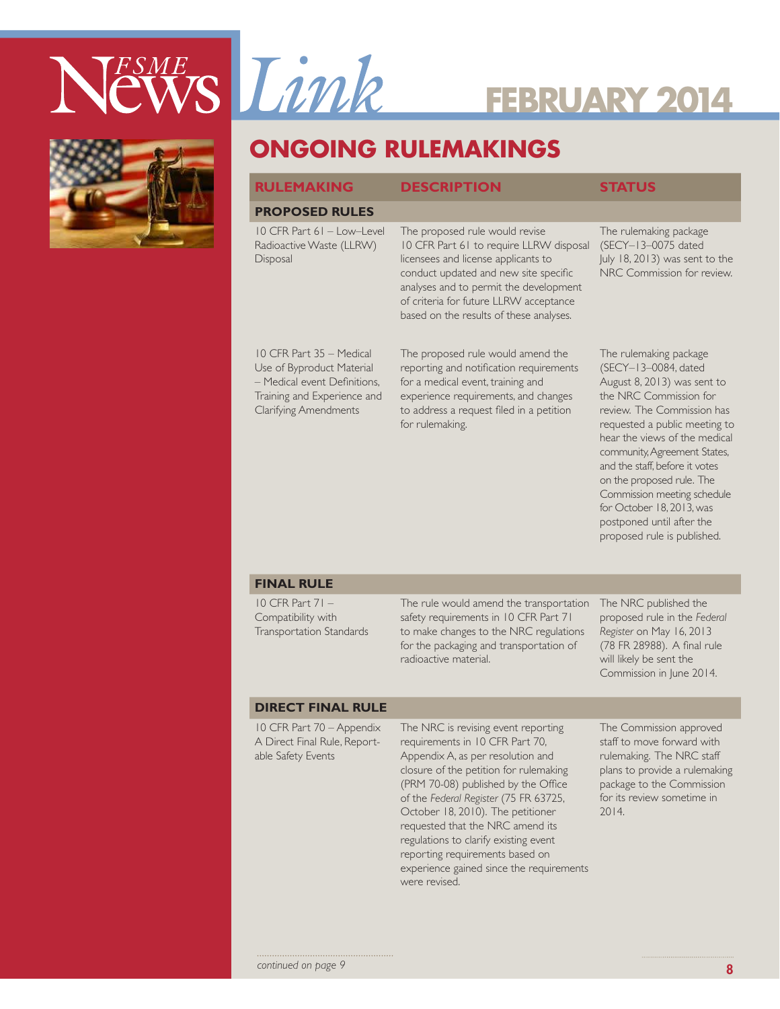



### **ONGOING RULEMAKINGS**

#### **Rulemaking Description Status**

#### **PROPOSED RULES**

10 CFR Part 61 – Low–Level Radioactive Waste (LLRW) Disposal

The proposed rule would revise 10 CFR Part 61 to require LLRW disposal licensees and license applicants to conduct updated and new site specific analyses and to permit the development of criteria for future LLRW acceptance based on the results of these analyses.

10 CFR Part 35 – Medical Use of Byproduct Material – Medical event Definitions, Training and Experience and Clarifying Amendments

The proposed rule would amend the reporting and notification requirements for a medical event, training and experience requirements, and changes to address a request filed in a petition for rulemaking.

The rulemaking package (SECY–13–0075 dated July 18, 2013) was sent to the NRC Commission for review.

The rulemaking package (SECY–13–0084, dated August 8, 2013) was sent to the NRC Commission for review. The Commission has requested a public meeting to hear the views of the medical community, Agreement States, and the staff, before it votes on the proposed rule. The Commission meeting schedule for October 18, 2013, was postponed until after the proposed rule is published.

#### **Final Rule**

10 CFR Part 71 – Compatibility with Transportation Standards The rule would amend the transportation safety requirements in 10 CFR Part 71 to make changes to the NRC regulations for the packaging and transportation of radioactive material.

The NRC published the proposed rule in the *Federal Register* on May 16, 2013 (78 FR 28988). A final rule will likely be sent the Commission in June 2014.

#### **DIRECT FINAL RULE**

10 CFR Part 70 – Appendix A Direct Final Rule, Reportable Safety Events

The NRC is revising event reporting requirements in 10 CFR Part 70, Appendix A, as per resolution and closure of the petition for rulemaking (PRM 70-08) published by the Office of the *Federal Register* (75 FR 63725, October 18, 2010). The petitioner requested that the NRC amend its regulations to clarify existing event reporting requirements based on experience gained since the requirements were revised.

The Commission approved staff to move forward with rulemaking. The NRC staff plans to provide a rulemaking package to the Commission for its review sometime in 2014.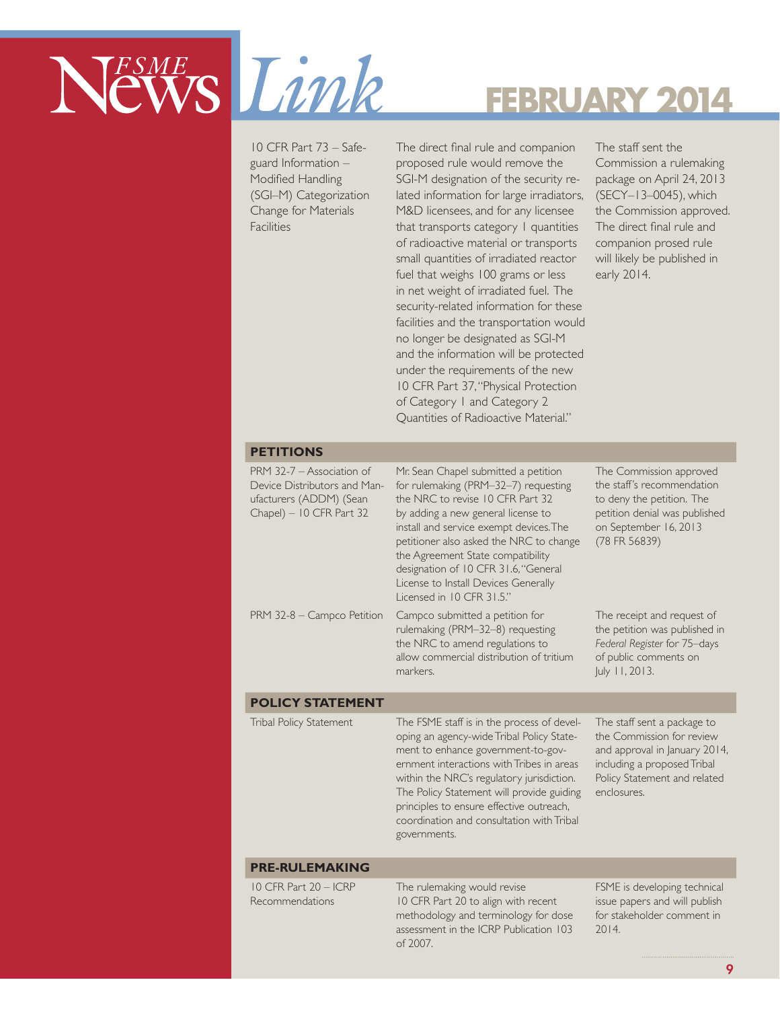

10 CFR Part 73 – Safeguard Information – Modified Handling (SGI–M) Categorization Change for Materials **Facilities** 

The direct final rule and companion proposed rule would remove the SGI-M designation of the security related information for large irradiators, M&D licensees, and for any licensee that transports category 1 quantities of radioactive material or transports small quantities of irradiated reactor fuel that weighs 100 grams or less in net weight of irradiated fuel. The security-related information for these facilities and the transportation would no longer be designated as SGI-M and the information will be protected under the requirements of the new 10 CFR Part 37, "Physical Protection of Category 1 and Category 2 Quantities of Radioactive Material."

The staff sent the Commission a rulemaking package on April 24, 2013 (SECY–13–0045), which the Commission approved. The direct final rule and companion prosed rule will likely be published in early 2014.

#### **PETITIONS**

| PRM 32-7 – Association of<br>Device Distributors and Man-<br>ufacturers (ADDM) (Sean<br>Chapel) - 10 CFR Part 32 | Mr. Sean Chapel submitted a petition<br>for rulemaking (PRM-32-7) requesting<br>the NRC to revise 10 CFR Part 32<br>by adding a new general license to<br>install and service exempt devices. The<br>petitioner also asked the NRC to change<br>the Agreement State compatibility<br>designation of 10 CFR 31.6, "General<br>License to Install Devices Generally<br>Licensed in 10 CFR 31.5." | The Commission approved<br>the staff's recommendation<br>to deny the petition. The<br>petition denial was published<br>on September 16, 2013<br>(78 FR 56839) |
|------------------------------------------------------------------------------------------------------------------|------------------------------------------------------------------------------------------------------------------------------------------------------------------------------------------------------------------------------------------------------------------------------------------------------------------------------------------------------------------------------------------------|---------------------------------------------------------------------------------------------------------------------------------------------------------------|
| PRM 32-8 - Campco Petition                                                                                       | Campco submitted a petition for<br>rulemaking (PRM-32-8) requesting<br>the NRC to amend regulations to<br>allow commercial distribution of tritium<br>markers.                                                                                                                                                                                                                                 | The receipt and request of<br>the petition was published in<br>Federal Register for 75-days<br>of public comments on<br>July 11, 2013.                        |
| <b>POLICY STATEMENT</b>                                                                                          |                                                                                                                                                                                                                                                                                                                                                                                                |                                                                                                                                                               |
| Tribal Policy Statement                                                                                          | The FCME staff is in the process of dough                                                                                                                                                                                                                                                                                                                                                      | The staff sent a package to                                                                                                                                   |

Tribal Policy Statement The FSME staff is in the process of developing an agency-wide Tribal Policy Statement to enhance government-to-government interactions with Tribes in areas within the NRC's regulatory jurisdiction. The Policy Statement will provide guiding principles to ensure effective outreach, coordination and consultation with Tribal governments.

The staff sent a package to the Commission for review and approval in January 2014, including a proposed Tribal Policy Statement and related enclosures.

#### **PRE-RULEMAKING**

10 CFR Part 20 – ICRP Recommendations

The rulemaking would revise 10 CFR Part 20 to align with recent methodology and terminology for dose assessment in the ICRP Publication 103 of 2007.

FSME is developing technical issue papers and will publish for stakeholder comment in 2014.